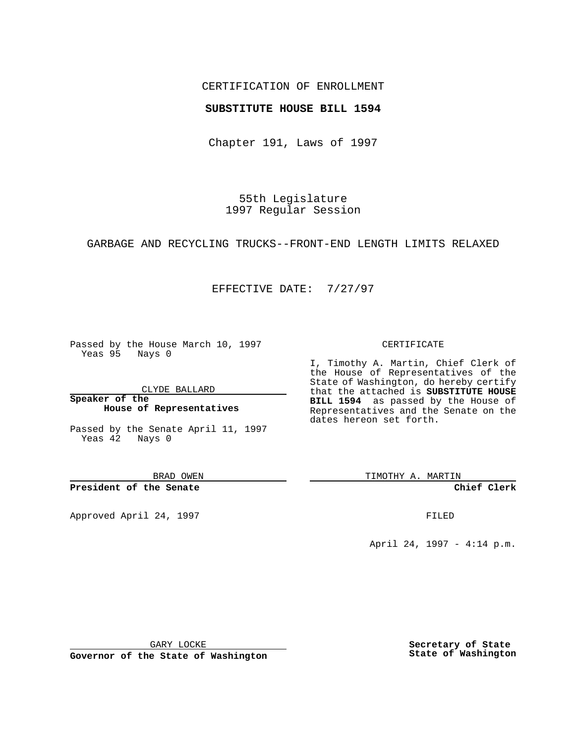## CERTIFICATION OF ENROLLMENT

## **SUBSTITUTE HOUSE BILL 1594**

Chapter 191, Laws of 1997

55th Legislature 1997 Regular Session

GARBAGE AND RECYCLING TRUCKS--FRONT-END LENGTH LIMITS RELAXED

## EFFECTIVE DATE: 7/27/97

Passed by the House March 10, 1997 Yeas 95 Nays 0

CLYDE BALLARD

**Speaker of the House of Representatives**

Passed by the Senate April 11, 1997 Yeas 42 Nays 0

BRAD OWEN

**President of the Senate**

Approved April 24, 1997 **FILED** 

### CERTIFICATE

I, Timothy A. Martin, Chief Clerk of the House of Representatives of the State of Washington, do hereby certify that the attached is **SUBSTITUTE HOUSE BILL 1594** as passed by the House of Representatives and the Senate on the dates hereon set forth.

TIMOTHY A. MARTIN

**Chief Clerk**

April 24, 1997 - 4:14 p.m.

GARY LOCKE

**Governor of the State of Washington**

**Secretary of State State of Washington**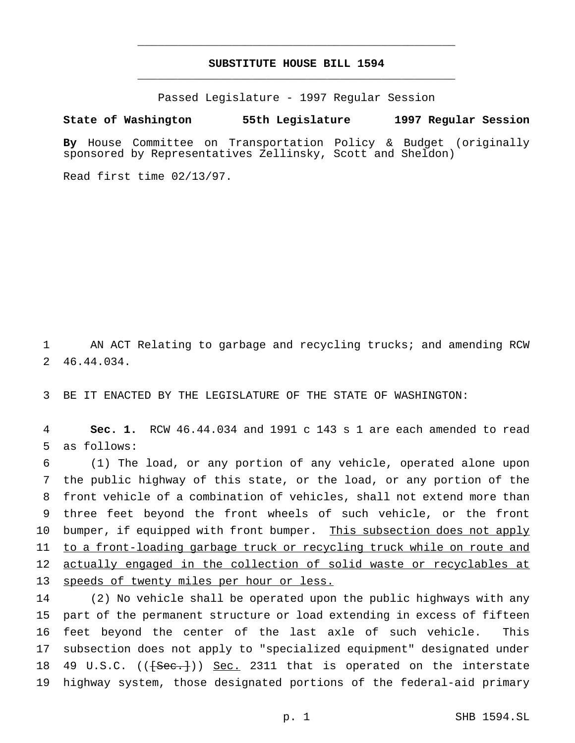# **SUBSTITUTE HOUSE BILL 1594** \_\_\_\_\_\_\_\_\_\_\_\_\_\_\_\_\_\_\_\_\_\_\_\_\_\_\_\_\_\_\_\_\_\_\_\_\_\_\_\_\_\_\_\_\_\_\_

\_\_\_\_\_\_\_\_\_\_\_\_\_\_\_\_\_\_\_\_\_\_\_\_\_\_\_\_\_\_\_\_\_\_\_\_\_\_\_\_\_\_\_\_\_\_\_

Passed Legislature - 1997 Regular Session

#### **State of Washington 55th Legislature 1997 Regular Session**

**By** House Committee on Transportation Policy & Budget (originally sponsored by Representatives Zellinsky, Scott and Sheldon)

Read first time 02/13/97.

 AN ACT Relating to garbage and recycling trucks; and amending RCW 46.44.034.

BE IT ENACTED BY THE LEGISLATURE OF THE STATE OF WASHINGTON:

 **Sec. 1.** RCW 46.44.034 and 1991 c 143 s 1 are each amended to read as follows:

 (1) The load, or any portion of any vehicle, operated alone upon the public highway of this state, or the load, or any portion of the front vehicle of a combination of vehicles, shall not extend more than three feet beyond the front wheels of such vehicle, or the front 10 bumper, if equipped with front bumper. This subsection does not apply to a front-loading garbage truck or recycling truck while on route and actually engaged in the collection of solid waste or recyclables at speeds of twenty miles per hour or less.

 (2) No vehicle shall be operated upon the public highways with any part of the permanent structure or load extending in excess of fifteen feet beyond the center of the last axle of such vehicle. This subsection does not apply to "specialized equipment" designated under 18 49 U.S.C. (( $\{\text{Sec.}\}\)$ ) Sec. 2311 that is operated on the interstate highway system, those designated portions of the federal-aid primary